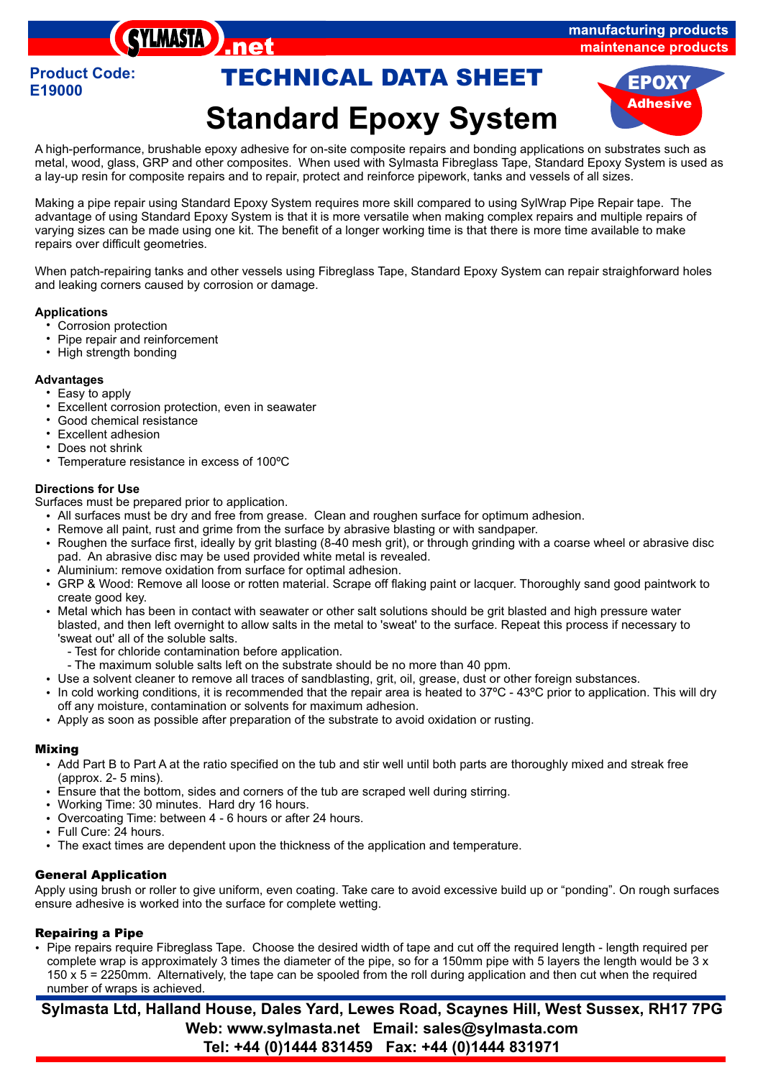## manufacturing products maintenance products

# **Standard Epoxy System Product Code: TECHNICAL DATA SHEET EPOXY**



A high-performance, brushable epoxy adhesive for on-site composite repairs and bonding applications on substrates such as metal, wood, glass, GRP and other composites. When used with Sylmasta Fibreglass Tape, Standard Epoxy System is used as a lay-up resin for composite repairs and to repair, protect and reinforce pipework, tanks and vessels of all sizes.

Making a pipe repair using Standard Epoxy System requires more skill compared to using SylWrap Pipe Repair tape. The advantage of using Standard Epoxy System is that it is more versatile when making complex repairs and multiple repairs of varying sizes can be made using one kit. The benefit of a longer working time is that there is more time available to make repairs over difficult geometries.

When patch-repairing tanks and other vessels using Fibreglass Tape, Standard Epoxy System can repair straighforward holes and leaking corners caused by corrosion or damage.

## **Applications**

- 
- Corrosion protection<br>• Pipe repair and reinf • Pipe repair and reinforcement<br>• High strength bonding
- High strength bonding

## **Advantages**

- Easy to apply<br>• Excellent corr
- Excellent corrosion protection, even in seawater<br>• Good chemical resistance

**SYLMASTA** 

- Good chemical resistance
- Excellent adhesion<br>• Does not shrink
- 
- Does not shrink<br>• Temperature resistance in excess of 100ºC

## **Directions for Use**

Surfaces must be prepared prior to application.

- All surfaces must be dry and free from grease. Clean and roughen surface for optimum adhesion.<br>• Remove all paint, rust and grime from the surface by abrasive blasting or with sandpaper.
- 
- Remove all paint, rust and grime from the surface by abrasive blasting or with sandpaper.<br>• Roughen the surface first, ideally by grit blasting (8-40 mesh grit), or through grinding with a coarse wheel or abrasive disc pad. An abrasive disc may be used provided white metal is revealed.<br>• Aluminium: remove oxidation from surface for optimal adhesion.
- 
- Aluminium: remove oxidation from surface for optimal adhesion.<br>• GRP & Wood: Remove all loose or rotten material. Scrape off flaking paint or lacquer. Thoroughly sand good paintwork to
- ?create good key. Metal which has been in contact with seawater or other salt solutions should be grit blasted and high pressure water blasted, and then left overnight to allow salts in the metal to 'sweat' to the surface. Repeat this process if necessary to 'sweat out' all of the soluble salts.
	-
	- Test for chloride contamination before application.<br>- The maximum soluble salts left on the substrate should be no more than 40 ppm.
- Use a solvent cleaner to remove all traces of sandblasting, grit, oil, grease, dust or other foreign substances.
- Use a solvent cleaner to remove all traces of sandblasting, grit, oil, grease, dust or other foreign substances.<br>▪ In cold working conditions, it is recommended that the repair area is heated to 37ºC 43ºC prior to app
- ?off any moisture, contamination or solvents for maximum adhesion. Apply as soon as possible after preparation of the substrate to avoid oxidation or rusting.

#### *Mixing*

- Add Part B to Part A at the ratio specified on the tub and stir well until both parts are thoroughly mixed and streak free
- (approx. 2- 5 mins).<br>Ensure that the bott • Ensure that the bottom, sides and corners of the tub are scraped well during stirring.<br>• Working Time: 30 minutes. Hard dry 16 hours.
- 
- Working Time: 30 minutes. Hard dry 16 hours.<br>• Overcoating Time: between 4 6 hours or after • Overcoating Time: between 4 - 6 hours or after 24 hours.<br>• Full Cure: 24 hours.
- 
- ?Full Cure: 24 hours. The exact times are dependent upon the thickness of the application and temperature.

#### *General Application*

Apply using brush or roller to give uniform, even coating. Take care to avoid excessive build up or "ponding". On rough surfaces ensure adhesive is worked into the surface for complete wetting.

#### ?*Repairing a Pipe*

Pipe repairs require Fibreglass Tape. Choose the desired width of tape and cut off the required length - length required per complete wrap is approximately 3 times the diameter of the pipe, so for a 150mm pipe with 5 layers the length would be 3 x 150 x 5 = 2250mm. Alternatively, the tape can be spooled from the roll during application and then cut when the required number of wraps is achieved.

**Sylmasta Ltd, Halland House, Dales Yard, Lewes Road, Scaynes Hill, West Sussex, RH17 7PG Web: www.sylmasta.net Email: sales@sylmasta.com Tel: +44 (0)1444 831459 Fax: +44 (0)1444 831971**